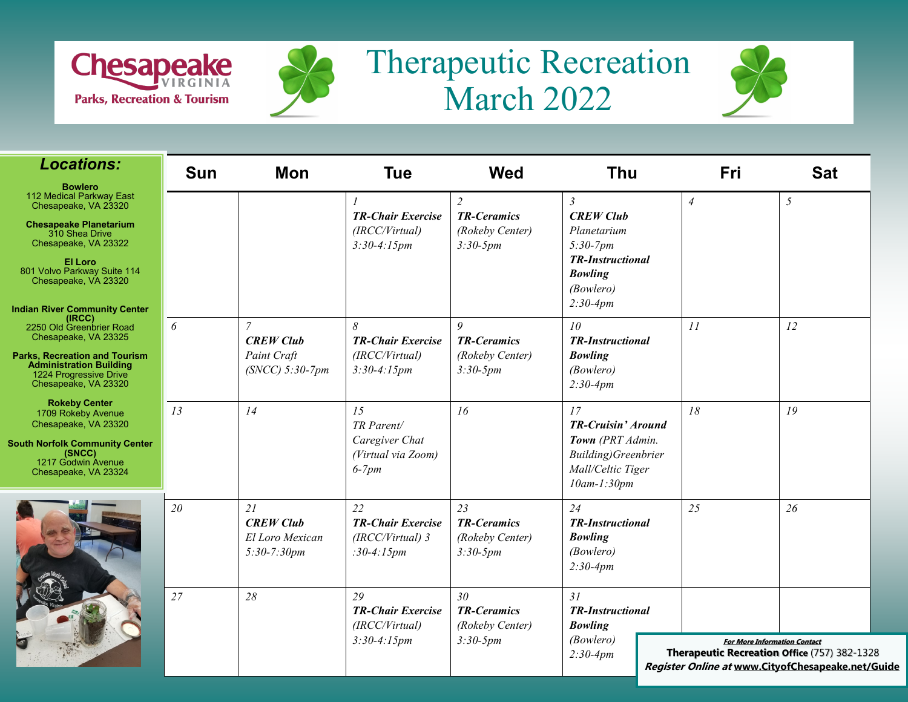



## Therapeutic Recreation March 2022



| <b>Locations:</b>                                                                                                                                                                                                                                       | <b>Sun</b> | Mon                                                                    | <b>Tue</b>                                                          | <b>Wed</b>                                                              | <b>Thu</b>                                                                                                                              | Fri            | <b>Sat</b>                                                                                                                               |
|---------------------------------------------------------------------------------------------------------------------------------------------------------------------------------------------------------------------------------------------------------|------------|------------------------------------------------------------------------|---------------------------------------------------------------------|-------------------------------------------------------------------------|-----------------------------------------------------------------------------------------------------------------------------------------|----------------|------------------------------------------------------------------------------------------------------------------------------------------|
| <b>Bowlero</b><br>112 Medical Parkway East<br>Chesapeake, VA 23320<br><b>Chesapeake Planetarium</b><br>310 Shea Drive<br>Chesapeake, VA 23322<br>El Loro<br>801 Volvo Parkway Suite 114<br>Chesapeake, VA 23320<br><b>Indian River Community Center</b> |            |                                                                        | <b>TR-Chair Exercise</b><br>(IRCC/Virtual)<br>$3:30-4:15pm$         | $\overline{2}$<br><b>TR-Ceramics</b><br>(Rokeby Center)<br>$3:30-5pm$   | $\mathfrak{Z}$<br><b>CREW Club</b><br>Planetarium<br>$5:30-7pm$<br><b>TR-Instructional</b><br><b>Bowling</b><br>(Bowlero)<br>$2:30-4pm$ | $\overline{A}$ | 5                                                                                                                                        |
| (IRCC)<br>2250 Old Greenbrier Road<br>Chesapeake, VA 23325<br>Parks, Recreation and Tourism<br>Administration Building<br>1224 Progressive Drive<br>Chesapeake, VA 23320                                                                                | 6          | $\overline{7}$<br><b>CREW Club</b><br>Paint Craft<br>$(SNCC)$ 5:30-7pm | 8<br><b>TR-Chair Exercise</b><br>(IRCC/Virtual)<br>$3:30-4:15pm$    | $\boldsymbol{Q}$<br><b>TR-Ceramics</b><br>(Rokeby Center)<br>$3:30-5pm$ | 10<br><b>TR-Instructional</b><br><b>Bowling</b><br>(Bowlero)<br>$2:30-4pm$                                                              | 11             | 12                                                                                                                                       |
| <b>Rokeby Center</b><br>1709 Rokeby Avenue<br>Chesapeake, VA 23320<br><b>South Norfolk Community Center</b><br>(SNCC)<br>1217 Godwin Avenue<br>Chesapeake, VA 23324                                                                                     | 13         | 14                                                                     | 15<br>TR Parent/<br>Caregiver Chat<br>(Virtual via Zoom)<br>$6-7pm$ | 16                                                                      | 17<br><b>TR-Cruisin' Around</b><br>Town (PRT Admin.<br>Building)Greenbrier<br>Mall/Celtic Tiger<br>$10$ am- $1:30$ pm                   | 18             | 19                                                                                                                                       |
|                                                                                                                                                                                                                                                         | 20         | 21<br><b>CREW Club</b><br>El Loro Mexican<br>$5:30-7:30pm$             | 22<br><b>TR-Chair Exercise</b><br>$(IRCC/Virtual)$ 3<br>:30-4:15pm  | 23<br><b>TR-Ceramics</b><br>(Rokeby Center)<br>$3:30-5pm$               | 24<br><b>TR-Instructional</b><br><b>Bowling</b><br>(Bowlero)<br>$2:30-4pm$                                                              | 25             | 26                                                                                                                                       |
|                                                                                                                                                                                                                                                         | 27         | 28                                                                     | 29<br><b>TR-Chair Exercise</b><br>(IRCC/Virtual)<br>$3:30-4:15pm$   | 30 <sup>°</sup><br><b>TR-Ceramics</b><br>(Rokeby Center)<br>$3:30-5pm$  | 31<br><b>TR-Instructional</b><br><b>Bowling</b><br>(Bowlero)<br>$2:30-4pm$                                                              |                | <b>For More Information Contact</b><br>Therapeutic Recreation Office (757) 382-1328<br>Register Online at www.CityofChesapeake.net/Guide |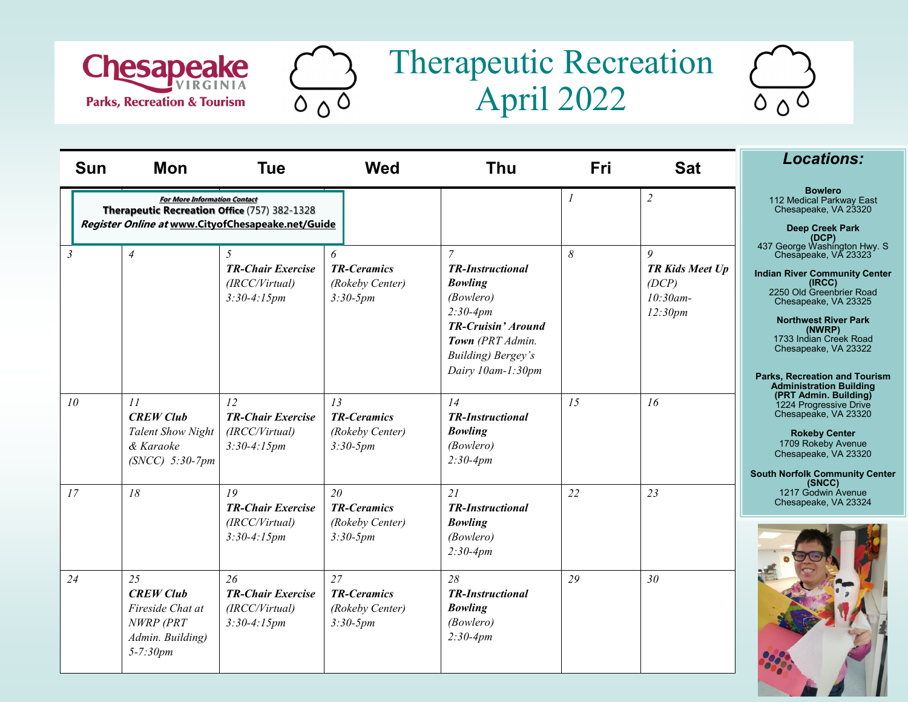





| <b>Sun</b>     | Mon                                                                                         | <b>Tue</b>                                                                                                            | <b>Wed</b>                                                | <b>Thu</b>                                                                                                                                                                                 | Fri              | <b>Sat</b>                                                     | <b>Locations:</b>                                                                                                                                                                                                                                                                                                                                           |  |
|----------------|---------------------------------------------------------------------------------------------|-----------------------------------------------------------------------------------------------------------------------|-----------------------------------------------------------|--------------------------------------------------------------------------------------------------------------------------------------------------------------------------------------------|------------------|----------------------------------------------------------------|-------------------------------------------------------------------------------------------------------------------------------------------------------------------------------------------------------------------------------------------------------------------------------------------------------------------------------------------------------------|--|
|                | <b>For More Information Contact</b><br>Therapeutic Recreation Office (757) 382-1328         |                                                                                                                       |                                                           |                                                                                                                                                                                            | $\boldsymbol{l}$ | $\overline{2}$                                                 | <b>Bowlero</b><br>112 Medical Parkway East<br>Chesapeake, VA 23320                                                                                                                                                                                                                                                                                          |  |
| $\mathfrak{Z}$ | $\overline{4}$                                                                              | Register Online at www.CityofChesapeake.net/Guide<br>5<br><b>TR-Chair Exercise</b><br>(IRCC/Virtual)<br>$3:30-4:15pm$ | 6<br><b>TR-Ceramics</b><br>(Rokeby Center)<br>$3:30-5pm$  | $\overline{7}$<br><b>TR-Instructional</b><br><b>Bowling</b><br>(Bowlero)<br>$2:30-4pm$<br><b>TR-Cruisin' Around</b><br>Town (PRT Admin.<br><b>Building</b> ) Bergey's<br>Dairy 10am-1:30pm |                  | 9<br><b>TR Kids Meet Up</b><br>(DCP)<br>$10:30$ am-<br>12:30pm | <b>Deep Creek Park</b><br>(DCP)<br>437 George Washington Hwy. S<br>Chesapeake, VA 23323<br><b>Indian River Community Center</b><br>(IRCC)<br>2250 Old Greenbrier Road<br>Chesapeake, VA 23325<br><b>Northwest River Park</b><br>(NWRP)<br>1733 Indian Creek Road<br>Chesapeake, VA 23322<br>Parks, Recreation and Tourism<br><b>Administration Building</b> |  |
| 10             | 11<br><b>CREW Club</b><br><b>Talent Show Night</b><br>& Karaoke<br>$(SNCC)$ 5:30-7pm        | 12<br><b>TR-Chair Exercise</b><br>(IRCC/Virtual)<br>$3:30-4:15pm$                                                     | 13<br><b>TR-Ceramics</b><br>(Rokeby Center)<br>$3:30-5pm$ | 14<br><b>TR-Instructional</b><br><b>Bowling</b><br>(Bowlero)<br>$2:30-4pm$                                                                                                                 | 15               | 16                                                             | (PRT Admin. Building)<br>1224 Progressive Drive<br>Chesapeake, VA 23320<br><b>Rokeby Center</b><br>1709 Rokeby Avenue<br>Chesapeake, VA 23320<br><b>South Norfolk Community Center</b>                                                                                                                                                                      |  |
| 17             | 18                                                                                          | 19<br><b>TR-Chair Exercise</b><br>(IRCC/Virtual)<br>$3:30-4:15pm$                                                     | 20<br><b>TR-Ceramics</b><br>(Rokeby Center)<br>$3:30-5pm$ | 21<br><b>TR-Instructional</b><br><b>Bowling</b><br>(Bowlero)<br>$2:30-4pm$                                                                                                                 | 22               | 23                                                             | (SNCC)<br>1217 Godwin Avenue<br>Chesapeake, VA 23324                                                                                                                                                                                                                                                                                                        |  |
| 24             | 25<br><b>CREW Club</b><br>Fireside Chat at<br>NWRP (PRT<br>Admin. Building)<br>$5 - 7:30pm$ | 26<br><b>TR-Chair Exercise</b><br>(IRCC/Virtual)<br>$3:30-4:15pm$                                                     | 27<br><b>TR-Ceramics</b><br>(Rokeby Center)<br>$3:30-5pm$ | 28<br><b>TR-Instructional</b><br><b>Bowling</b><br>(Bowlero)<br>$2:30-4pm$                                                                                                                 | 29               | 30 <sup>°</sup>                                                |                                                                                                                                                                                                                                                                                                                                                             |  |